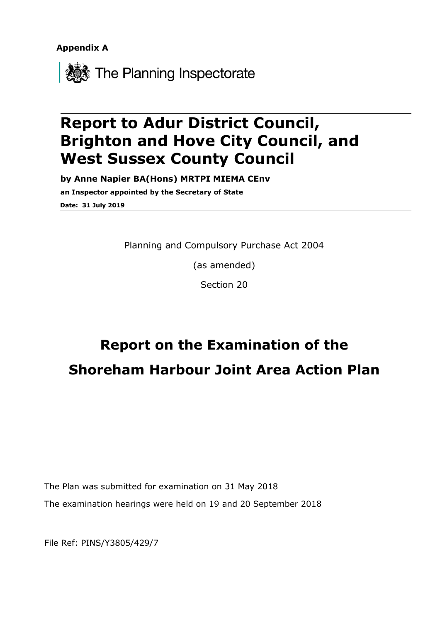**Appendix A**



## **Report to Adur District Council, Brighton and Hove City Council, and West Sussex County Council**

**by Anne Napier BA(Hons) MRTPI MIEMA CEnv an Inspector appointed by the Secretary of State Date: 31 July 2019**

Planning and Compulsory Purchase Act 2004

(as amended)

Section 20

# **Report on the Examination of the Shoreham Harbour Joint Area Action Plan**

The Plan was submitted for examination on 31 May 2018 The examination hearings were held on 19 and 20 September 2018

File Ref: PINS/Y3805/429/7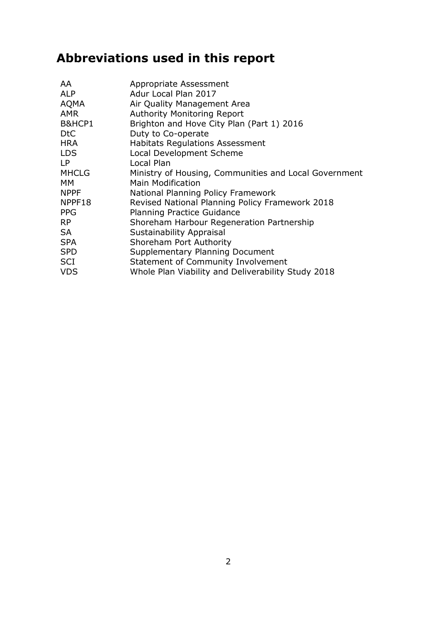## **Abbreviations used in this report**

| AA               | Appropriate Assessment                                |
|------------------|-------------------------------------------------------|
| <b>ALP</b>       | Adur Local Plan 2017                                  |
| <b>AQMA</b>      | Air Quality Management Area                           |
| <b>AMR</b>       | <b>Authority Monitoring Report</b>                    |
| B&HCP1           | Brighton and Hove City Plan (Part 1) 2016             |
| D <sub>t</sub> C | Duty to Co-operate                                    |
| <b>HRA</b>       | <b>Habitats Regulations Assessment</b>                |
| <b>LDS</b>       | Local Development Scheme                              |
| LP.              | Local Plan                                            |
| <b>MHCLG</b>     | Ministry of Housing, Communities and Local Government |
| <b>MM</b>        | Main Modification                                     |
| <b>NPPF</b>      | National Planning Policy Framework                    |
| NPPF18           | Revised National Planning Policy Framework 2018       |
| <b>PPG</b>       | <b>Planning Practice Guidance</b>                     |
| <b>RP</b>        | Shoreham Harbour Regeneration Partnership             |
| <b>SA</b>        | Sustainability Appraisal                              |
| <b>SPA</b>       | Shoreham Port Authority                               |
| <b>SPD</b>       | Supplementary Planning Document                       |
| <b>SCI</b>       | Statement of Community Involvement                    |
| <b>VDS</b>       | Whole Plan Viability and Deliverability Study 2018    |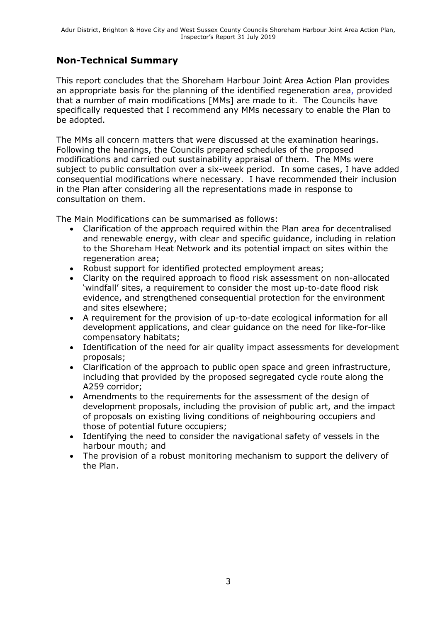#### **Non-Technical Summary**

This report concludes that the Shoreham Harbour Joint Area Action Plan provides an appropriate basis for the planning of the identified regeneration area, provided that a number of main modifications [MMs] are made to it. The Councils have specifically requested that I recommend any MMs necessary to enable the Plan to be adopted.

The MMs all concern matters that were discussed at the examination hearings. Following the hearings, the Councils prepared schedules of the proposed modifications and carried out sustainability appraisal of them. The MMs were subject to public consultation over a six-week period. In some cases, I have added consequential modifications where necessary. I have recommended their inclusion in the Plan after considering all the representations made in response to consultation on them.

The Main Modifications can be summarised as follows:

- Clarification of the approach required within the Plan area for decentralised and renewable energy, with clear and specific guidance, including in relation to the Shoreham Heat Network and its potential impact on sites within the regeneration area:
- Robust support for identified protected employment areas;
- Clarity on the required approach to flood risk assessment on non-allocated 'windfall' sites, a requirement to consider the most up-to-date flood risk evidence, and strengthened consequential protection for the environment and sites elsewhere;
- A requirement for the provision of up-to-date ecological information for all development applications, and clear guidance on the need for like-for-like compensatory habitats;
- Identification of the need for air quality impact assessments for development proposals;
- Clarification of the approach to public open space and green infrastructure, including that provided by the proposed segregated cycle route along the A259 corridor;
- Amendments to the requirements for the assessment of the design of development proposals, including the provision of public art, and the impact of proposals on existing living conditions of neighbouring occupiers and those of potential future occupiers;
- Identifying the need to consider the navigational safety of vessels in the harbour mouth; and
- The provision of a robust monitoring mechanism to support the delivery of the Plan.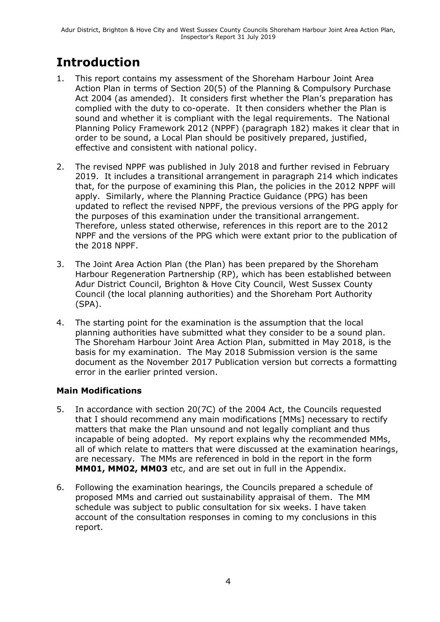## **Introduction**

- 1. This report contains my assessment of the Shoreham Harbour Joint Area Action Plan in terms of Section 20(5) of the Planning & Compulsory Purchase Act 2004 (as amended). It considers first whether the Plan's preparation has complied with the duty to co-operate. It then considers whether the Plan is sound and whether it is compliant with the legal requirements. The National Planning Policy Framework 2012 (NPPF) (paragraph 182) makes it clear that in order to be sound, a Local Plan should be positively prepared, justified, effective and consistent with national policy.
- 2. The revised NPPF was published in July 2018 and further revised in February 2019. It includes a transitional arrangement in paragraph 214 which indicates that, for the purpose of examining this Plan, the policies in the 2012 NPPF will apply. Similarly, where the Planning Practice Guidance (PPG) has been updated to reflect the revised NPPF, the previous versions of the PPG apply for the purposes of this examination under the transitional arrangement. Therefore, unless stated otherwise, references in this report are to the 2012 NPPF and the versions of the PPG which were extant prior to the publication of the 2018 NPPF.
- 3. The Joint Area Action Plan (the Plan) has been prepared by the Shoreham Harbour Regeneration Partnership (RP), which has been established between Adur District Council, Brighton & Hove City Council, West Sussex County Council (the local planning authorities) and the Shoreham Port Authority (SPA).
- 4. The starting point for the examination is the assumption that the local planning authorities have submitted what they consider to be a sound plan. The Shoreham Harbour Joint Area Action Plan, submitted in May 2018, is the basis for my examination. The May 2018 Submission version is the same document as the November 2017 Publication version but corrects a formatting error in the earlier printed version.

#### **Main Modifications**

- 5. In accordance with section 20(7C) of the 2004 Act, the Councils requested that I should recommend any main modifications [MMs] necessary to rectify matters that make the Plan unsound and not legally compliant and thus incapable of being adopted. My report explains why the recommended MMs, all of which relate to matters that were discussed at the examination hearings, are necessary. The MMs are referenced in bold in the report in the form **MM01, MM02, MM03** etc, and are set out in full in the Appendix.
- 6. Following the examination hearings, the Councils prepared a schedule of proposed MMs and carried out sustainability appraisal of them. The MM schedule was subject to public consultation for six weeks. I have taken account of the consultation responses in coming to my conclusions in this report.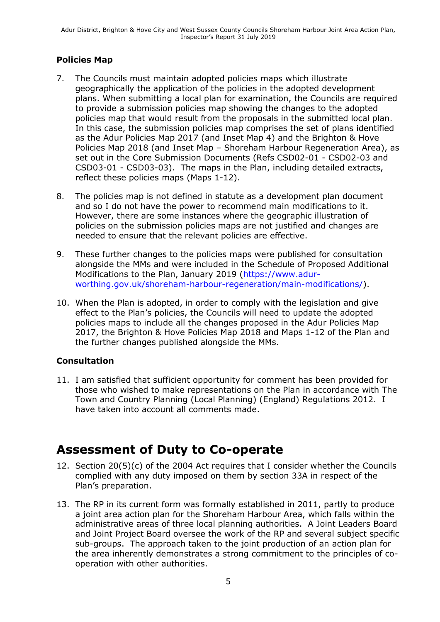#### **Policies Map**

- 7. The Councils must maintain adopted policies maps which illustrate geographically the application of the policies in the adopted development plans. When submitting a local plan for examination, the Councils are required to provide a submission policies map showing the changes to the adopted policies map that would result from the proposals in the submitted local plan. In this case, the submission policies map comprises the set of plans identified as the Adur Policies Map 2017 (and Inset Map 4) and the Brighton & Hove Policies Map 2018 (and Inset Map – Shoreham Harbour Regeneration Area), as set out in the Core Submission Documents (Refs CSD02-01 - CSD02-03 and CSD03-01 - CSD03-03). The maps in the Plan, including detailed extracts, reflect these policies maps (Maps 1-12).
- 8. The policies map is not defined in statute as a development plan document and so I do not have the power to recommend main modifications to it. However, there are some instances where the geographic illustration of policies on the submission policies maps are not justified and changes are needed to ensure that the relevant policies are effective.
- 9. These further changes to the policies maps were published for consultation alongside the MMs and were included in the Schedule of Proposed Additional Modifications to the Plan, January 2019 [\(https://www.adur](https://www.adur-worthing.gov.uk/shoreham-harbour-regeneration/main-modifications/)[worthing.gov.uk/shoreham-harbour-regeneration/main-modifications/\)](https://www.adur-worthing.gov.uk/shoreham-harbour-regeneration/main-modifications/).
- 10. When the Plan is adopted, in order to comply with the legislation and give effect to the Plan's policies, the Councils will need to update the adopted policies maps to include all the changes proposed in the Adur Policies Map 2017, the Brighton & Hove Policies Map 2018 and Maps 1-12 of the Plan and the further changes published alongside the MMs.

#### **Consultation**

11. I am satisfied that sufficient opportunity for comment has been provided for those who wished to make representations on the Plan in accordance with The Town and Country Planning (Local Planning) (England) Regulations 2012. I have taken into account all comments made.

## **Assessment of Duty to Co-operate**

- 12. Section 20(5)(c) of the 2004 Act requires that I consider whether the Councils complied with any duty imposed on them by section 33A in respect of the Plan's preparation.
- 13. The RP in its current form was formally established in 2011, partly to produce a joint area action plan for the Shoreham Harbour Area, which falls within the administrative areas of three local planning authorities. A Joint Leaders Board and Joint Project Board oversee the work of the RP and several subject specific sub-groups. The approach taken to the joint production of an action plan for the area inherently demonstrates a strong commitment to the principles of cooperation with other authorities.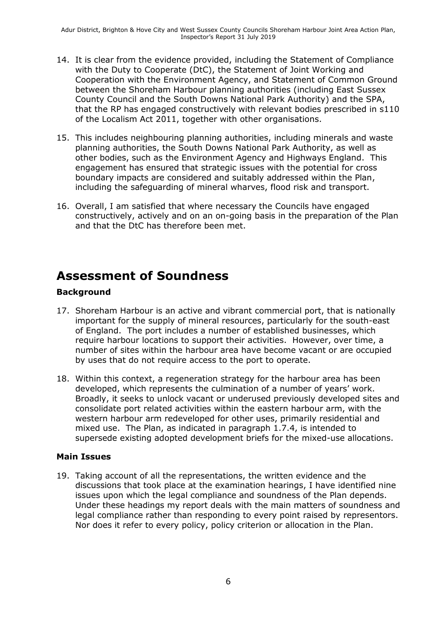- 14. It is clear from the evidence provided, including the Statement of Compliance with the Duty to Cooperate (DtC), the Statement of Joint Working and Cooperation with the Environment Agency, and Statement of Common Ground between the Shoreham Harbour planning authorities (including East Sussex County Council and the South Downs National Park Authority) and the SPA, that the RP has engaged constructively with relevant bodies prescribed in s110 of the Localism Act 2011, together with other organisations.
- 15. This includes neighbouring planning authorities, including minerals and waste planning authorities, the South Downs National Park Authority, as well as other bodies, such as the Environment Agency and Highways England. This engagement has ensured that strategic issues with the potential for cross boundary impacts are considered and suitably addressed within the Plan, including the safeguarding of mineral wharves, flood risk and transport.
- 16. Overall, I am satisfied that where necessary the Councils have engaged constructively, actively and on an on-going basis in the preparation of the Plan and that the DtC has therefore been met.

### **Assessment of Soundness**

#### **Background**

- 17. Shoreham Harbour is an active and vibrant commercial port, that is nationally important for the supply of mineral resources, particularly for the south-east of England. The port includes a number of established businesses, which require harbour locations to support their activities. However, over time, a number of sites within the harbour area have become vacant or are occupied by uses that do not require access to the port to operate.
- 18. Within this context, a regeneration strategy for the harbour area has been developed, which represents the culmination of a number of years' work. Broadly, it seeks to unlock vacant or underused previously developed sites and consolidate port related activities within the eastern harbour arm, with the western harbour arm redeveloped for other uses, primarily residential and mixed use. The Plan, as indicated in paragraph 1.7.4, is intended to supersede existing adopted development briefs for the mixed-use allocations.

#### **Main Issues**

19. Taking account of all the representations, the written evidence and the discussions that took place at the examination hearings, I have identified nine issues upon which the legal compliance and soundness of the Plan depends. Under these headings my report deals with the main matters of soundness and legal compliance rather than responding to every point raised by representors. Nor does it refer to every policy, policy criterion or allocation in the Plan.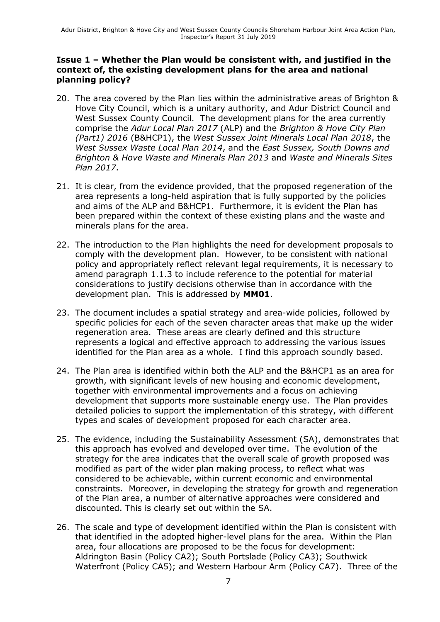#### **Issue 1 – Whether the Plan would be consistent with, and justified in the context of, the existing development plans for the area and national planning policy?**

- 20. The area covered by the Plan lies within the administrative areas of Brighton & Hove City Council, which is a unitary authority, and Adur District Council and West Sussex County Council. The development plans for the area currently comprise the *Adur Local Plan 2017* (ALP) and the *Brighton & Hove City Plan (Part1) 2016* (B&HCP1), the *West Sussex Joint Minerals Local Plan 2018*, the *West Sussex Waste Local Plan 2014*, and the *East Sussex, South Downs and Brighton & Hove Waste and Minerals Plan 2013* and *Waste and Minerals Sites Plan 2017*.
- 21. It is clear, from the evidence provided, that the proposed regeneration of the area represents a long-held aspiration that is fully supported by the policies and aims of the ALP and B&HCP1. Furthermore, it is evident the Plan has been prepared within the context of these existing plans and the waste and minerals plans for the area.
- 22. The introduction to the Plan highlights the need for development proposals to comply with the development plan. However, to be consistent with national policy and appropriately reflect relevant legal requirements, it is necessary to amend paragraph 1.1.3 to include reference to the potential for material considerations to justify decisions otherwise than in accordance with the development plan. This is addressed by **MM01**.
- 23. The document includes a spatial strategy and area-wide policies, followed by specific policies for each of the seven character areas that make up the wider regeneration area. These areas are clearly defined and this structure represents a logical and effective approach to addressing the various issues identified for the Plan area as a whole. I find this approach soundly based.
- 24. The Plan area is identified within both the ALP and the B&HCP1 as an area for growth, with significant levels of new housing and economic development, together with environmental improvements and a focus on achieving development that supports more sustainable energy use. The Plan provides detailed policies to support the implementation of this strategy, with different types and scales of development proposed for each character area.
- 25. The evidence, including the Sustainability Assessment (SA), demonstrates that this approach has evolved and developed over time. The evolution of the strategy for the area indicates that the overall scale of growth proposed was modified as part of the wider plan making process, to reflect what was considered to be achievable, within current economic and environmental constraints. Moreover, in developing the strategy for growth and regeneration of the Plan area, a number of alternative approaches were considered and discounted. This is clearly set out within the SA.
- 26. The scale and type of development identified within the Plan is consistent with that identified in the adopted higher-level plans for the area. Within the Plan area, four allocations are proposed to be the focus for development: Aldrington Basin (Policy CA2); South Portslade (Policy CA3); Southwick Waterfront (Policy CA5); and Western Harbour Arm (Policy CA7). Three of the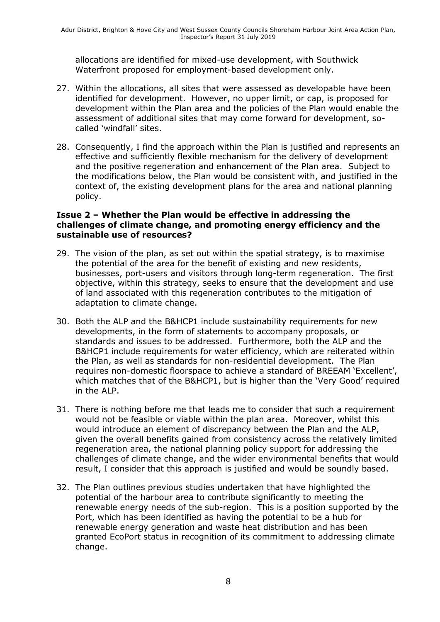allocations are identified for mixed-use development, with Southwick Waterfront proposed for employment-based development only.

- 27. Within the allocations, all sites that were assessed as developable have been identified for development. However, no upper limit, or cap, is proposed for development within the Plan area and the policies of the Plan would enable the assessment of additional sites that may come forward for development, socalled 'windfall' sites.
- 28. Consequently, I find the approach within the Plan is justified and represents an effective and sufficiently flexible mechanism for the delivery of development and the positive regeneration and enhancement of the Plan area. Subject to the modifications below, the Plan would be consistent with, and justified in the context of, the existing development plans for the area and national planning policy.

#### **Issue 2 – Whether the Plan would be effective in addressing the challenges of climate change, and promoting energy efficiency and the sustainable use of resources?**

- 29. The vision of the plan, as set out within the spatial strategy, is to maximise the potential of the area for the benefit of existing and new residents, businesses, port-users and visitors through long-term regeneration. The first objective, within this strategy, seeks to ensure that the development and use of land associated with this regeneration contributes to the mitigation of adaptation to climate change.
- 30. Both the ALP and the B&HCP1 include sustainability requirements for new developments, in the form of statements to accompany proposals, or standards and issues to be addressed. Furthermore, both the ALP and the B&HCP1 include requirements for water efficiency, which are reiterated within the Plan, as well as standards for non-residential development. The Plan requires non-domestic floorspace to achieve a standard of BREEAM 'Excellent', which matches that of the B&HCP1, but is higher than the 'Very Good' required in the ALP.
- 31. There is nothing before me that leads me to consider that such a requirement would not be feasible or viable within the plan area. Moreover, whilst this would introduce an element of discrepancy between the Plan and the ALP, given the overall benefits gained from consistency across the relatively limited regeneration area, the national planning policy support for addressing the challenges of climate change, and the wider environmental benefits that would result, I consider that this approach is justified and would be soundly based.
- 32. The Plan outlines previous studies undertaken that have highlighted the potential of the harbour area to contribute significantly to meeting the renewable energy needs of the sub-region. This is a position supported by the Port, which has been identified as having the potential to be a hub for renewable energy generation and waste heat distribution and has been granted EcoPort status in recognition of its commitment to addressing climate change.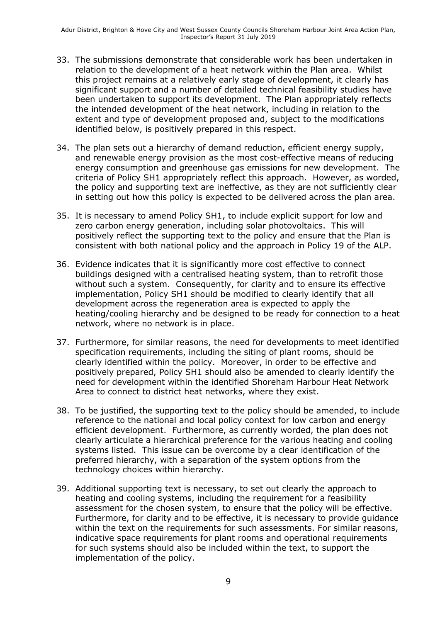- 33. The submissions demonstrate that considerable work has been undertaken in relation to the development of a heat network within the Plan area. Whilst this project remains at a relatively early stage of development, it clearly has significant support and a number of detailed technical feasibility studies have been undertaken to support its development. The Plan appropriately reflects the intended development of the heat network, including in relation to the extent and type of development proposed and, subject to the modifications identified below, is positively prepared in this respect.
- 34. The plan sets out a hierarchy of demand reduction, efficient energy supply, and renewable energy provision as the most cost-effective means of reducing energy consumption and greenhouse gas emissions for new development. The criteria of Policy SH1 appropriately reflect this approach. However, as worded, the policy and supporting text are ineffective, as they are not sufficiently clear in setting out how this policy is expected to be delivered across the plan area.
- 35. It is necessary to amend Policy SH1, to include explicit support for low and zero carbon energy generation, including solar photovoltaics. This will positively reflect the supporting text to the policy and ensure that the Plan is consistent with both national policy and the approach in Policy 19 of the ALP.
- 36. Evidence indicates that it is significantly more cost effective to connect buildings designed with a centralised heating system, than to retrofit those without such a system. Consequently, for clarity and to ensure its effective implementation, Policy SH1 should be modified to clearly identify that all development across the regeneration area is expected to apply the heating/cooling hierarchy and be designed to be ready for connection to a heat network, where no network is in place.
- 37. Furthermore, for similar reasons, the need for developments to meet identified specification requirements, including the siting of plant rooms, should be clearly identified within the policy. Moreover, in order to be effective and positively prepared, Policy SH1 should also be amended to clearly identify the need for development within the identified Shoreham Harbour Heat Network Area to connect to district heat networks, where they exist.
- 38. To be justified, the supporting text to the policy should be amended, to include reference to the national and local policy context for low carbon and energy efficient development. Furthermore, as currently worded, the plan does not clearly articulate a hierarchical preference for the various heating and cooling systems listed. This issue can be overcome by a clear identification of the preferred hierarchy, with a separation of the system options from the technology choices within hierarchy.
- 39. Additional supporting text is necessary, to set out clearly the approach to heating and cooling systems, including the requirement for a feasibility assessment for the chosen system, to ensure that the policy will be effective. Furthermore, for clarity and to be effective, it is necessary to provide guidance within the text on the requirements for such assessments. For similar reasons, indicative space requirements for plant rooms and operational requirements for such systems should also be included within the text, to support the implementation of the policy.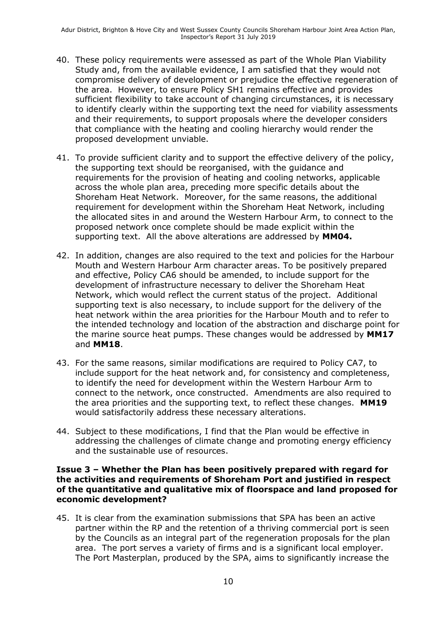- 40. These policy requirements were assessed as part of the Whole Plan Viability Study and, from the available evidence, I am satisfied that they would not compromise delivery of development or prejudice the effective regeneration of the area. However, to ensure Policy SH1 remains effective and provides sufficient flexibility to take account of changing circumstances, it is necessary to identify clearly within the supporting text the need for viability assessments and their requirements, to support proposals where the developer considers that compliance with the heating and cooling hierarchy would render the proposed development unviable.
- 41. To provide sufficient clarity and to support the effective delivery of the policy, the supporting text should be reorganised, with the guidance and requirements for the provision of heating and cooling networks, applicable across the whole plan area, preceding more specific details about the Shoreham Heat Network. Moreover, for the same reasons, the additional requirement for development within the Shoreham Heat Network, including the allocated sites in and around the Western Harbour Arm, to connect to the proposed network once complete should be made explicit within the supporting text. All the above alterations are addressed by **MM04.**
- 42. In addition, changes are also required to the text and policies for the Harbour Mouth and Western Harbour Arm character areas. To be positively prepared and effective, Policy CA6 should be amended, to include support for the development of infrastructure necessary to deliver the Shoreham Heat Network, which would reflect the current status of the project. Additional supporting text is also necessary, to include support for the delivery of the heat network within the area priorities for the Harbour Mouth and to refer to the intended technology and location of the abstraction and discharge point for the marine source heat pumps. These changes would be addressed by **MM17** and **MM18**.
- 43. For the same reasons, similar modifications are required to Policy CA7, to include support for the heat network and, for consistency and completeness, to identify the need for development within the Western Harbour Arm to connect to the network, once constructed. Amendments are also required to the area priorities and the supporting text, to reflect these changes. **MM19** would satisfactorily address these necessary alterations.
- 44. Subject to these modifications, I find that the Plan would be effective in addressing the challenges of climate change and promoting energy efficiency and the sustainable use of resources.

#### **Issue 3 – Whether the Plan has been positively prepared with regard for the activities and requirements of Shoreham Port and justified in respect of the quantitative and qualitative mix of floorspace and land proposed for economic development?**

45. It is clear from the examination submissions that SPA has been an active partner within the RP and the retention of a thriving commercial port is seen by the Councils as an integral part of the regeneration proposals for the plan area. The port serves a variety of firms and is a significant local employer. The Port Masterplan, produced by the SPA, aims to significantly increase the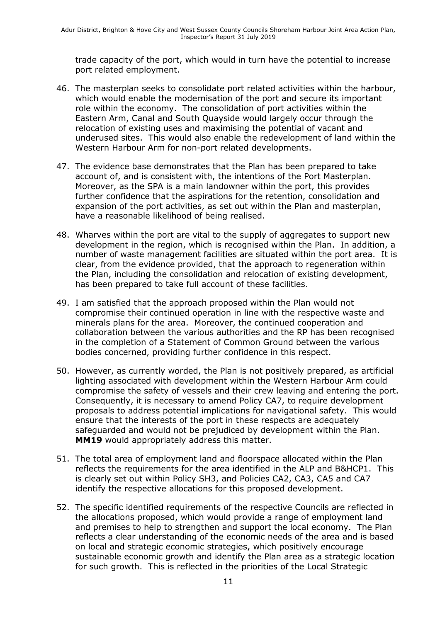trade capacity of the port, which would in turn have the potential to increase port related employment.

- 46. The masterplan seeks to consolidate port related activities within the harbour, which would enable the modernisation of the port and secure its important role within the economy. The consolidation of port activities within the Eastern Arm, Canal and South Quayside would largely occur through the relocation of existing uses and maximising the potential of vacant and underused sites. This would also enable the redevelopment of land within the Western Harbour Arm for non-port related developments.
- 47. The evidence base demonstrates that the Plan has been prepared to take account of, and is consistent with, the intentions of the Port Masterplan. Moreover, as the SPA is a main landowner within the port, this provides further confidence that the aspirations for the retention, consolidation and expansion of the port activities, as set out within the Plan and masterplan, have a reasonable likelihood of being realised.
- 48. Wharves within the port are vital to the supply of aggregates to support new development in the region, which is recognised within the Plan. In addition, a number of waste management facilities are situated within the port area. It is clear, from the evidence provided, that the approach to regeneration within the Plan, including the consolidation and relocation of existing development, has been prepared to take full account of these facilities.
- 49. I am satisfied that the approach proposed within the Plan would not compromise their continued operation in line with the respective waste and minerals plans for the area. Moreover, the continued cooperation and collaboration between the various authorities and the RP has been recognised in the completion of a Statement of Common Ground between the various bodies concerned, providing further confidence in this respect.
- 50. However, as currently worded, the Plan is not positively prepared, as artificial lighting associated with development within the Western Harbour Arm could compromise the safety of vessels and their crew leaving and entering the port. Consequently, it is necessary to amend Policy CA7, to require development proposals to address potential implications for navigational safety. This would ensure that the interests of the port in these respects are adequately safeguarded and would not be prejudiced by development within the Plan. **MM19** would appropriately address this matter.
- 51. The total area of employment land and floorspace allocated within the Plan reflects the requirements for the area identified in the ALP and B&HCP1. This is clearly set out within Policy SH3, and Policies CA2, CA3, CA5 and CA7 identify the respective allocations for this proposed development.
- 52. The specific identified requirements of the respective Councils are reflected in the allocations proposed, which would provide a range of employment land and premises to help to strengthen and support the local economy. The Plan reflects a clear understanding of the economic needs of the area and is based on local and strategic economic strategies, which positively encourage sustainable economic growth and identify the Plan area as a strategic location for such growth. This is reflected in the priorities of the Local Strategic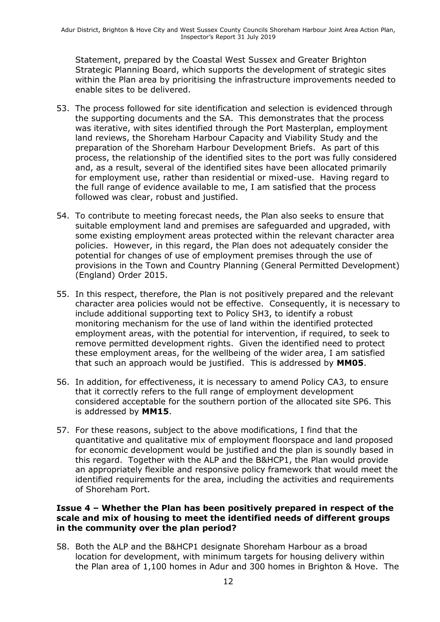Statement, prepared by the Coastal West Sussex and Greater Brighton Strategic Planning Board, which supports the development of strategic sites within the Plan area by prioritising the infrastructure improvements needed to enable sites to be delivered.

- 53. The process followed for site identification and selection is evidenced through the supporting documents and the SA. This demonstrates that the process was iterative, with sites identified through the Port Masterplan, employment land reviews, the Shoreham Harbour Capacity and Viability Study and the preparation of the Shoreham Harbour Development Briefs. As part of this process, the relationship of the identified sites to the port was fully considered and, as a result, several of the identified sites have been allocated primarily for employment use, rather than residential or mixed-use. Having regard to the full range of evidence available to me, I am satisfied that the process followed was clear, robust and justified.
- 54. To contribute to meeting forecast needs, the Plan also seeks to ensure that suitable employment land and premises are safeguarded and upgraded, with some existing employment areas protected within the relevant character area policies. However, in this regard, the Plan does not adequately consider the potential for changes of use of employment premises through the use of provisions in the Town and Country Planning (General Permitted Development) (England) Order 2015.
- 55. In this respect, therefore, the Plan is not positively prepared and the relevant character area policies would not be effective. Consequently, it is necessary to include additional supporting text to Policy SH3, to identify a robust monitoring mechanism for the use of land within the identified protected employment areas, with the potential for intervention, if required, to seek to remove permitted development rights. Given the identified need to protect these employment areas, for the wellbeing of the wider area, I am satisfied that such an approach would be justified. This is addressed by **MM05**.
- 56. In addition, for effectiveness, it is necessary to amend Policy CA3, to ensure that it correctly refers to the full range of employment development considered acceptable for the southern portion of the allocated site SP6. This is addressed by **MM15**.
- 57. For these reasons, subject to the above modifications, I find that the quantitative and qualitative mix of employment floorspace and land proposed for economic development would be justified and the plan is soundly based in this regard. Together with the ALP and the B&HCP1, the Plan would provide an appropriately flexible and responsive policy framework that would meet the identified requirements for the area, including the activities and requirements of Shoreham Port.

#### **Issue 4 – Whether the Plan has been positively prepared in respect of the scale and mix of housing to meet the identified needs of different groups in the community over the plan period?**

58. Both the ALP and the B&HCP1 designate Shoreham Harbour as a broad location for development, with minimum targets for housing delivery within the Plan area of 1,100 homes in Adur and 300 homes in Brighton & Hove. The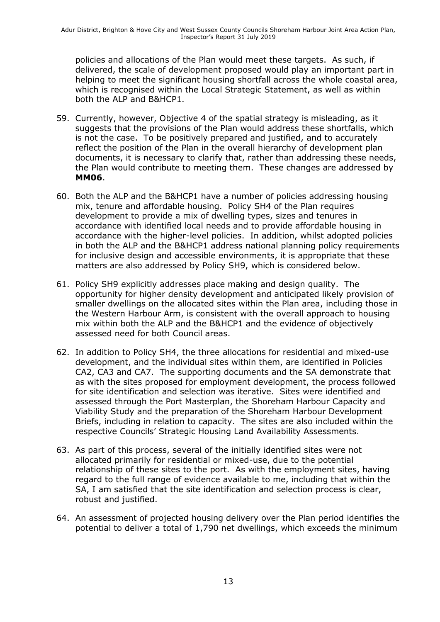policies and allocations of the Plan would meet these targets. As such, if delivered, the scale of development proposed would play an important part in helping to meet the significant housing shortfall across the whole coastal area, which is recognised within the Local Strategic Statement, as well as within both the ALP and B&HCP1.

- 59. Currently, however, Objective 4 of the spatial strategy is misleading, as it suggests that the provisions of the Plan would address these shortfalls, which is not the case. To be positively prepared and justified, and to accurately reflect the position of the Plan in the overall hierarchy of development plan documents, it is necessary to clarify that, rather than addressing these needs, the Plan would contribute to meeting them. These changes are addressed by **MM06**.
- 60. Both the ALP and the B&HCP1 have a number of policies addressing housing mix, tenure and affordable housing. Policy SH4 of the Plan requires development to provide a mix of dwelling types, sizes and tenures in accordance with identified local needs and to provide affordable housing in accordance with the higher-level policies. In addition, whilst adopted policies in both the ALP and the B&HCP1 address national planning policy requirements for inclusive design and accessible environments, it is appropriate that these matters are also addressed by Policy SH9, which is considered below.
- 61. Policy SH9 explicitly addresses place making and design quality. The opportunity for higher density development and anticipated likely provision of smaller dwellings on the allocated sites within the Plan area, including those in the Western Harbour Arm, is consistent with the overall approach to housing mix within both the ALP and the B&HCP1 and the evidence of objectively assessed need for both Council areas.
- 62. In addition to Policy SH4, the three allocations for residential and mixed-use development, and the individual sites within them, are identified in Policies CA2, CA3 and CA7. The supporting documents and the SA demonstrate that as with the sites proposed for employment development, the process followed for site identification and selection was iterative. Sites were identified and assessed through the Port Masterplan, the Shoreham Harbour Capacity and Viability Study and the preparation of the Shoreham Harbour Development Briefs, including in relation to capacity. The sites are also included within the respective Councils' Strategic Housing Land Availability Assessments.
- 63. As part of this process, several of the initially identified sites were not allocated primarily for residential or mixed-use, due to the potential relationship of these sites to the port. As with the employment sites, having regard to the full range of evidence available to me, including that within the SA, I am satisfied that the site identification and selection process is clear, robust and justified.
- 64. An assessment of projected housing delivery over the Plan period identifies the potential to deliver a total of 1,790 net dwellings, which exceeds the minimum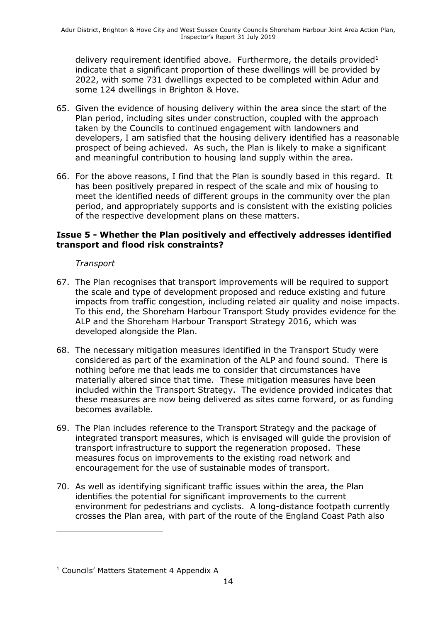delivery requirement identified above. Furthermore, the details provided<sup>1</sup> indicate that a significant proportion of these dwellings will be provided by 2022, with some 731 dwellings expected to be completed within Adur and some 124 dwellings in Brighton & Hove.

- 65. Given the evidence of housing delivery within the area since the start of the Plan period, including sites under construction, coupled with the approach taken by the Councils to continued engagement with landowners and developers, I am satisfied that the housing delivery identified has a reasonable prospect of being achieved. As such, the Plan is likely to make a significant and meaningful contribution to housing land supply within the area.
- 66. For the above reasons, I find that the Plan is soundly based in this regard. It has been positively prepared in respect of the scale and mix of housing to meet the identified needs of different groups in the community over the plan period, and appropriately supports and is consistent with the existing policies of the respective development plans on these matters.

#### **Issue 5 - Whether the Plan positively and effectively addresses identified transport and flood risk constraints?**

#### *Transport*

- 67. The Plan recognises that transport improvements will be required to support the scale and type of development proposed and reduce existing and future impacts from traffic congestion, including related air quality and noise impacts. To this end, the Shoreham Harbour Transport Study provides evidence for the ALP and the Shoreham Harbour Transport Strategy 2016, which was developed alongside the Plan.
- 68. The necessary mitigation measures identified in the Transport Study were considered as part of the examination of the ALP and found sound. There is nothing before me that leads me to consider that circumstances have materially altered since that time. These mitigation measures have been included within the Transport Strategy. The evidence provided indicates that these measures are now being delivered as sites come forward, or as funding becomes available.
- 69. The Plan includes reference to the Transport Strategy and the package of integrated transport measures, which is envisaged will guide the provision of transport infrastructure to support the regeneration proposed. These measures focus on improvements to the existing road network and encouragement for the use of sustainable modes of transport.
- 70. As well as identifying significant traffic issues within the area, the Plan identifies the potential for significant improvements to the current environment for pedestrians and cyclists. A long-distance footpath currently crosses the Plan area, with part of the route of the England Coast Path also

 $\overline{a}$ 

<sup>&</sup>lt;sup>1</sup> Councils' Matters Statement 4 Appendix A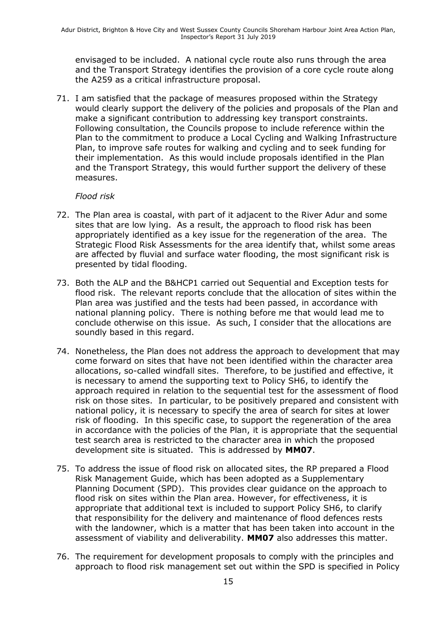envisaged to be included. A national cycle route also runs through the area and the Transport Strategy identifies the provision of a core cycle route along the A259 as a critical infrastructure proposal.

71. I am satisfied that the package of measures proposed within the Strategy would clearly support the delivery of the policies and proposals of the Plan and make a significant contribution to addressing key transport constraints. Following consultation, the Councils propose to include reference within the Plan to the commitment to produce a Local Cycling and Walking Infrastructure Plan, to improve safe routes for walking and cycling and to seek funding for their implementation. As this would include proposals identified in the Plan and the Transport Strategy, this would further support the delivery of these measures.

#### *Flood risk*

- 72. The Plan area is coastal, with part of it adjacent to the River Adur and some sites that are low lying. As a result, the approach to flood risk has been appropriately identified as a key issue for the regeneration of the area. The Strategic Flood Risk Assessments for the area identify that, whilst some areas are affected by fluvial and surface water flooding, the most significant risk is presented by tidal flooding.
- 73. Both the ALP and the B&HCP1 carried out Sequential and Exception tests for flood risk. The relevant reports conclude that the allocation of sites within the Plan area was justified and the tests had been passed, in accordance with national planning policy. There is nothing before me that would lead me to conclude otherwise on this issue. As such, I consider that the allocations are soundly based in this regard.
- 74. Nonetheless, the Plan does not address the approach to development that may come forward on sites that have not been identified within the character area allocations, so-called windfall sites. Therefore, to be justified and effective, it is necessary to amend the supporting text to Policy SH6, to identify the approach required in relation to the sequential test for the assessment of flood risk on those sites. In particular, to be positively prepared and consistent with national policy, it is necessary to specify the area of search for sites at lower risk of flooding. In this specific case, to support the regeneration of the area in accordance with the policies of the Plan, it is appropriate that the sequential test search area is restricted to the character area in which the proposed development site is situated. This is addressed by **MM07**.
- 75. To address the issue of flood risk on allocated sites, the RP prepared a Flood Risk Management Guide, which has been adopted as a Supplementary Planning Document (SPD). This provides clear guidance on the approach to flood risk on sites within the Plan area. However, for effectiveness, it is appropriate that additional text is included to support Policy SH6, to clarify that responsibility for the delivery and maintenance of flood defences rests with the landowner, which is a matter that has been taken into account in the assessment of viability and deliverability. **MM07** also addresses this matter.
- 76. The requirement for development proposals to comply with the principles and approach to flood risk management set out within the SPD is specified in Policy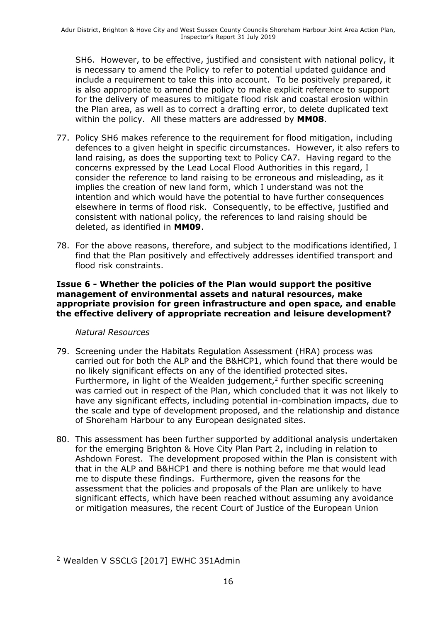SH6. However, to be effective, justified and consistent with national policy, it is necessary to amend the Policy to refer to potential updated guidance and include a requirement to take this into account. To be positively prepared, it is also appropriate to amend the policy to make explicit reference to support for the delivery of measures to mitigate flood risk and coastal erosion within the Plan area, as well as to correct a drafting error, to delete duplicated text within the policy. All these matters are addressed by **MM08**.

- 77. Policy SH6 makes reference to the requirement for flood mitigation, including defences to a given height in specific circumstances. However, it also refers to land raising, as does the supporting text to Policy CA7. Having regard to the concerns expressed by the Lead Local Flood Authorities in this regard, I consider the reference to land raising to be erroneous and misleading, as it implies the creation of new land form, which I understand was not the intention and which would have the potential to have further consequences elsewhere in terms of flood risk. Consequently, to be effective, justified and consistent with national policy, the references to land raising should be deleted, as identified in **MM09**.
- 78. For the above reasons, therefore, and subject to the modifications identified, I find that the Plan positively and effectively addresses identified transport and flood risk constraints.

#### **Issue 6 - Whether the policies of the Plan would support the positive management of environmental assets and natural resources, make appropriate provision for green infrastructure and open space, and enable the effective delivery of appropriate recreation and leisure development?**

#### *Natural Resources*

 $\overline{a}$ 

- 79. Screening under the Habitats Regulation Assessment (HRA) process was carried out for both the ALP and the B&HCP1, which found that there would be no likely significant effects on any of the identified protected sites. Furthermore, in light of the Wealden judgement, $<sup>2</sup>$  further specific screening</sup> was carried out in respect of the Plan, which concluded that it was not likely to have any significant effects, including potential in-combination impacts, due to the scale and type of development proposed, and the relationship and distance of Shoreham Harbour to any European designated sites.
- 80. This assessment has been further supported by additional analysis undertaken for the emerging Brighton & Hove City Plan Part 2, including in relation to Ashdown Forest. The development proposed within the Plan is consistent with that in the ALP and B&HCP1 and there is nothing before me that would lead me to dispute these findings. Furthermore, given the reasons for the assessment that the policies and proposals of the Plan are unlikely to have significant effects, which have been reached without assuming any avoidance or mitigation measures, the recent Court of Justice of the European Union

<sup>&</sup>lt;sup>2</sup> Wealden V SSCLG [2017] EWHC 351Admin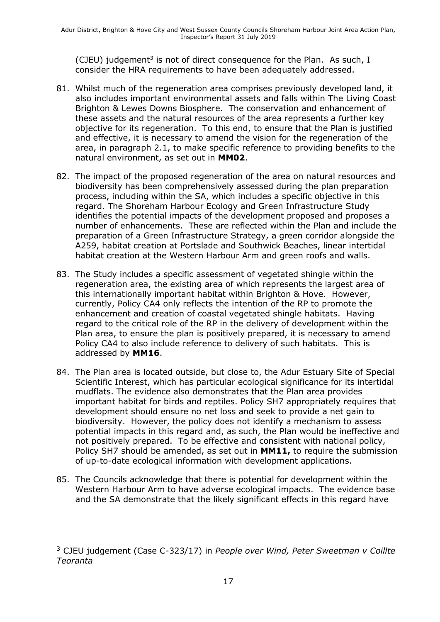(CJEU) judgement<sup>3</sup> is not of direct consequence for the Plan. As such, I consider the HRA requirements to have been adequately addressed.

- 81. Whilst much of the regeneration area comprises previously developed land, it also includes important environmental assets and falls within The Living Coast Brighton & Lewes Downs Biosphere. The conservation and enhancement of these assets and the natural resources of the area represents a further key objective for its regeneration. To this end, to ensure that the Plan is justified and effective, it is necessary to amend the vision for the regeneration of the area, in paragraph 2.1, to make specific reference to providing benefits to the natural environment, as set out in **MM02**.
- 82. The impact of the proposed regeneration of the area on natural resources and biodiversity has been comprehensively assessed during the plan preparation process, including within the SA, which includes a specific objective in this regard. The Shoreham Harbour Ecology and Green Infrastructure Study identifies the potential impacts of the development proposed and proposes a number of enhancements. These are reflected within the Plan and include the preparation of a Green Infrastructure Strategy, a green corridor alongside the A259, habitat creation at Portslade and Southwick Beaches, linear intertidal habitat creation at the Western Harbour Arm and green roofs and walls.
- 83. The Study includes a specific assessment of vegetated shingle within the regeneration area, the existing area of which represents the largest area of this internationally important habitat within Brighton & Hove. However, currently, Policy CA4 only reflects the intention of the RP to promote the enhancement and creation of coastal vegetated shingle habitats. Having regard to the critical role of the RP in the delivery of development within the Plan area, to ensure the plan is positively prepared, it is necessary to amend Policy CA4 to also include reference to delivery of such habitats. This is addressed by **MM16**.
- 84. The Plan area is located outside, but close to, the Adur Estuary Site of Special Scientific Interest, which has particular ecological significance for its intertidal mudflats. The evidence also demonstrates that the Plan area provides important habitat for birds and reptiles. Policy SH7 appropriately requires that development should ensure no net loss and seek to provide a net gain to biodiversity. However, the policy does not identify a mechanism to assess potential impacts in this regard and, as such, the Plan would be ineffective and not positively prepared. To be effective and consistent with national policy, Policy SH7 should be amended, as set out in **MM11,** to require the submission of up-to-date ecological information with development applications.
- 85. The Councils acknowledge that there is potential for development within the Western Harbour Arm to have adverse ecological impacts. The evidence base and the SA demonstrate that the likely significant effects in this regard have

j

<sup>3</sup> CJEU judgement (Case C-323/17) in *People over Wind, Peter Sweetman v Coillte Teoranta*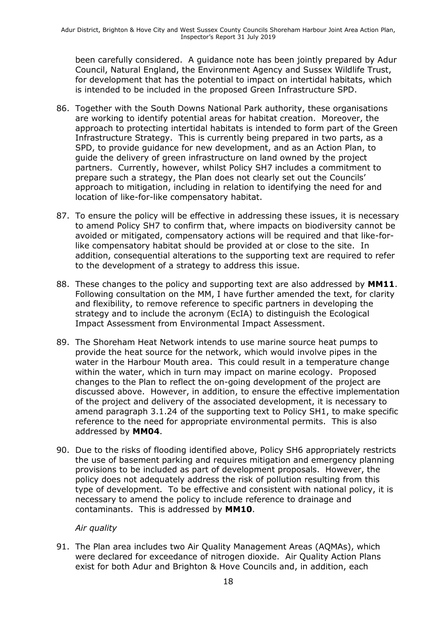been carefully considered. A guidance note has been jointly prepared by Adur Council, Natural England, the Environment Agency and Sussex Wildlife Trust, for development that has the potential to impact on intertidal habitats, which is intended to be included in the proposed Green Infrastructure SPD.

- 86. Together with the South Downs National Park authority, these organisations are working to identify potential areas for habitat creation. Moreover, the approach to protecting intertidal habitats is intended to form part of the Green Infrastructure Strategy. This is currently being prepared in two parts, as a SPD, to provide guidance for new development, and as an Action Plan, to guide the delivery of green infrastructure on land owned by the project partners. Currently, however, whilst Policy SH7 includes a commitment to prepare such a strategy, the Plan does not clearly set out the Councils' approach to mitigation, including in relation to identifying the need for and location of like-for-like compensatory habitat.
- 87. To ensure the policy will be effective in addressing these issues, it is necessary to amend Policy SH7 to confirm that, where impacts on biodiversity cannot be avoided or mitigated, compensatory actions will be required and that like-forlike compensatory habitat should be provided at or close to the site. In addition, consequential alterations to the supporting text are required to refer to the development of a strategy to address this issue.
- 88. These changes to the policy and supporting text are also addressed by **MM11**. Following consultation on the MM, I have further amended the text, for clarity and flexibility, to remove reference to specific partners in developing the strategy and to include the acronym (EcIA) to distinguish the Ecological Impact Assessment from Environmental Impact Assessment.
- 89. The Shoreham Heat Network intends to use marine source heat pumps to provide the heat source for the network, which would involve pipes in the water in the Harbour Mouth area. This could result in a temperature change within the water, which in turn may impact on marine ecology. Proposed changes to the Plan to reflect the on-going development of the project are discussed above. However, in addition, to ensure the effective implementation of the project and delivery of the associated development, it is necessary to amend paragraph 3.1.24 of the supporting text to Policy SH1, to make specific reference to the need for appropriate environmental permits. This is also addressed by **MM04**.
- 90. Due to the risks of flooding identified above, Policy SH6 appropriately restricts the use of basement parking and requires mitigation and emergency planning provisions to be included as part of development proposals. However, the policy does not adequately address the risk of pollution resulting from this type of development. To be effective and consistent with national policy, it is necessary to amend the policy to include reference to drainage and contaminants. This is addressed by **MM10**.

#### *Air quality*

91. The Plan area includes two Air Quality Management Areas (AQMAs), which were declared for exceedance of nitrogen dioxide. Air Quality Action Plans exist for both Adur and Brighton & Hove Councils and, in addition, each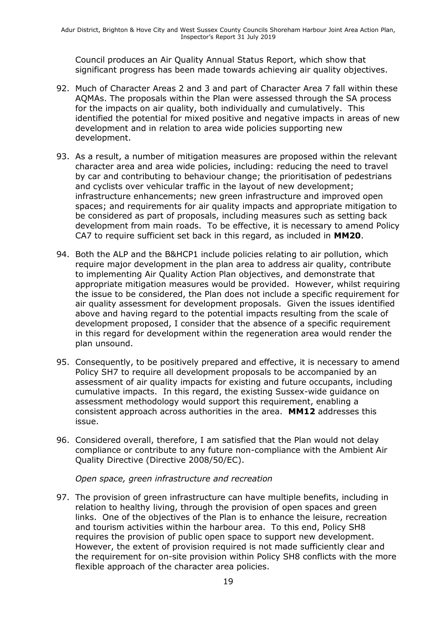Council produces an Air Quality Annual Status Report, which show that significant progress has been made towards achieving air quality objectives.

- 92. Much of Character Areas 2 and 3 and part of Character Area 7 fall within these AQMAs. The proposals within the Plan were assessed through the SA process for the impacts on air quality, both individually and cumulatively. This identified the potential for mixed positive and negative impacts in areas of new development and in relation to area wide policies supporting new development.
- 93. As a result, a number of mitigation measures are proposed within the relevant character area and area wide policies, including: reducing the need to travel by car and contributing to behaviour change; the prioritisation of pedestrians and cyclists over vehicular traffic in the layout of new development; infrastructure enhancements; new green infrastructure and improved open spaces; and requirements for air quality impacts and appropriate mitigation to be considered as part of proposals, including measures such as setting back development from main roads. To be effective, it is necessary to amend Policy CA7 to require sufficient set back in this regard, as included in **MM20**.
- 94. Both the ALP and the B&HCP1 include policies relating to air pollution, which require major development in the plan area to address air quality, contribute to implementing Air Quality Action Plan objectives, and demonstrate that appropriate mitigation measures would be provided. However, whilst requiring the issue to be considered, the Plan does not include a specific requirement for air quality assessment for development proposals. Given the issues identified above and having regard to the potential impacts resulting from the scale of development proposed, I consider that the absence of a specific requirement in this regard for development within the regeneration area would render the plan unsound.
- 95. Consequently, to be positively prepared and effective, it is necessary to amend Policy SH7 to require all development proposals to be accompanied by an assessment of air quality impacts for existing and future occupants, including cumulative impacts. In this regard, the existing Sussex-wide guidance on assessment methodology would support this requirement, enabling a consistent approach across authorities in the area. **MM12** addresses this issue.
- 96. Considered overall, therefore, I am satisfied that the Plan would not delay compliance or contribute to any future non-compliance with the Ambient Air Quality Directive (Directive 2008/50/EC).

*Open space, green infrastructure and recreation*

97. The provision of green infrastructure can have multiple benefits, including in relation to healthy living, through the provision of open spaces and green links. One of the objectives of the Plan is to enhance the leisure, recreation and tourism activities within the harbour area. To this end, Policy SH8 requires the provision of public open space to support new development. However, the extent of provision required is not made sufficiently clear and the requirement for on-site provision within Policy SH8 conflicts with the more flexible approach of the character area policies.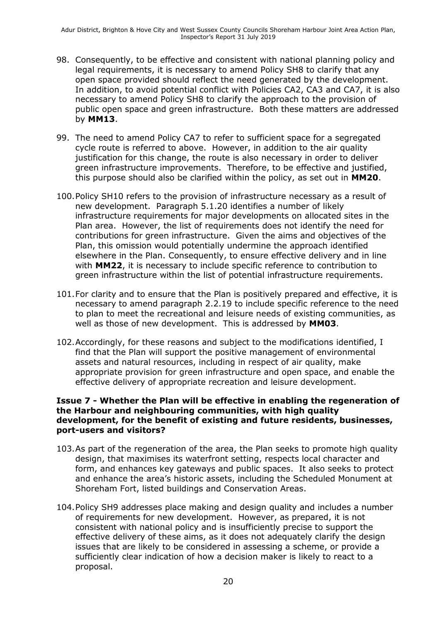- 98. Consequently, to be effective and consistent with national planning policy and legal requirements, it is necessary to amend Policy SH8 to clarify that any open space provided should reflect the need generated by the development. In addition, to avoid potential conflict with Policies CA2, CA3 and CA7, it is also necessary to amend Policy SH8 to clarify the approach to the provision of public open space and green infrastructure. Both these matters are addressed by **MM13**.
- 99. The need to amend Policy CA7 to refer to sufficient space for a segregated cycle route is referred to above. However, in addition to the air quality justification for this change, the route is also necessary in order to deliver green infrastructure improvements. Therefore, to be effective and justified, this purpose should also be clarified within the policy, as set out in **MM20**.
- 100.Policy SH10 refers to the provision of infrastructure necessary as a result of new development. Paragraph 5.1.20 identifies a number of likely infrastructure requirements for major developments on allocated sites in the Plan area. However, the list of requirements does not identify the need for contributions for green infrastructure. Given the aims and objectives of the Plan, this omission would potentially undermine the approach identified elsewhere in the Plan. Consequently, to ensure effective delivery and in line with **MM22**, it is necessary to include specific reference to contribution to green infrastructure within the list of potential infrastructure requirements.
- 101.For clarity and to ensure that the Plan is positively prepared and effective, it is necessary to amend paragraph 2.2.19 to include specific reference to the need to plan to meet the recreational and leisure needs of existing communities, as well as those of new development. This is addressed by **MM03**.
- 102.Accordingly, for these reasons and subject to the modifications identified, I find that the Plan will support the positive management of environmental assets and natural resources, including in respect of air quality, make appropriate provision for green infrastructure and open space, and enable the effective delivery of appropriate recreation and leisure development.

#### **Issue 7 - Whether the Plan will be effective in enabling the regeneration of the Harbour and neighbouring communities, with high quality development, for the benefit of existing and future residents, businesses, port-users and visitors?**

- 103.As part of the regeneration of the area, the Plan seeks to promote high quality design, that maximises its waterfront setting, respects local character and form, and enhances key gateways and public spaces. It also seeks to protect and enhance the area's historic assets, including the Scheduled Monument at Shoreham Fort, listed buildings and Conservation Areas.
- 104.Policy SH9 addresses place making and design quality and includes a number of requirements for new development. However, as prepared, it is not consistent with national policy and is insufficiently precise to support the effective delivery of these aims, as it does not adequately clarify the design issues that are likely to be considered in assessing a scheme, or provide a sufficiently clear indication of how a decision maker is likely to react to a proposal.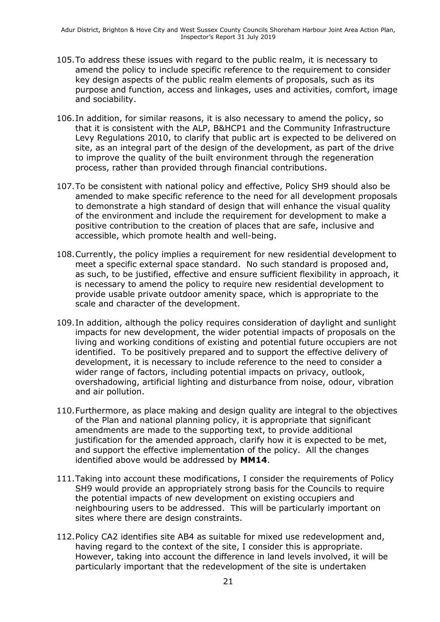- 105.To address these issues with regard to the public realm, it is necessary to amend the policy to include specific reference to the requirement to consider key design aspects of the public realm elements of proposals, such as its purpose and function, access and linkages, uses and activities, comfort, image and sociability.
- 106.In addition, for similar reasons, it is also necessary to amend the policy, so that it is consistent with the ALP, B&HCP1 and the Community Infrastructure Levy Regulations 2010, to clarify that public art is expected to be delivered on site, as an integral part of the design of the development, as part of the drive to improve the quality of the built environment through the regeneration process, rather than provided through financial contributions.
- 107.To be consistent with national policy and effective, Policy SH9 should also be amended to make specific reference to the need for all development proposals to demonstrate a high standard of design that will enhance the visual quality of the environment and include the requirement for development to make a positive contribution to the creation of places that are safe, inclusive and accessible, which promote health and well-being.
- 108.Currently, the policy implies a requirement for new residential development to meet a specific external space standard. No such standard is proposed and, as such, to be justified, effective and ensure sufficient flexibility in approach, it is necessary to amend the policy to require new residential development to provide usable private outdoor amenity space, which is appropriate to the scale and character of the development.
- 109.In addition, although the policy requires consideration of daylight and sunlight impacts for new development, the wider potential impacts of proposals on the living and working conditions of existing and potential future occupiers are not identified. To be positively prepared and to support the effective delivery of development, it is necessary to include reference to the need to consider a wider range of factors, including potential impacts on privacy, outlook, overshadowing, artificial lighting and disturbance from noise, odour, vibration and air pollution.
- 110.Furthermore, as place making and design quality are integral to the objectives of the Plan and national planning policy, it is appropriate that significant amendments are made to the supporting text, to provide additional justification for the amended approach, clarify how it is expected to be met, and support the effective implementation of the policy. All the changes identified above would be addressed by **MM14**.
- 111.Taking into account these modifications, I consider the requirements of Policy SH9 would provide an appropriately strong basis for the Councils to require the potential impacts of new development on existing occupiers and neighbouring users to be addressed. This will be particularly important on sites where there are design constraints.
- 112.Policy CA2 identifies site AB4 as suitable for mixed use redevelopment and, having regard to the context of the site, I consider this is appropriate. However, taking into account the difference in land levels involved, it will be particularly important that the redevelopment of the site is undertaken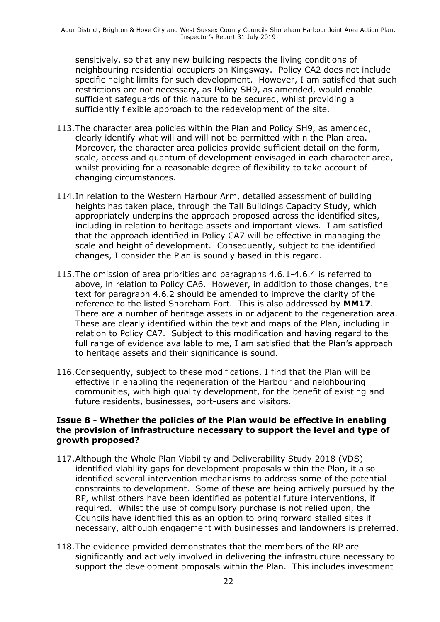sensitively, so that any new building respects the living conditions of neighbouring residential occupiers on Kingsway. Policy CA2 does not include specific height limits for such development. However, I am satisfied that such restrictions are not necessary, as Policy SH9, as amended, would enable sufficient safeguards of this nature to be secured, whilst providing a sufficiently flexible approach to the redevelopment of the site.

- 113.The character area policies within the Plan and Policy SH9, as amended, clearly identify what will and will not be permitted within the Plan area. Moreover, the character area policies provide sufficient detail on the form, scale, access and quantum of development envisaged in each character area, whilst providing for a reasonable degree of flexibility to take account of changing circumstances.
- 114.In relation to the Western Harbour Arm, detailed assessment of building heights has taken place, through the Tall Buildings Capacity Study, which appropriately underpins the approach proposed across the identified sites, including in relation to heritage assets and important views. I am satisfied that the approach identified in Policy CA7 will be effective in managing the scale and height of development. Consequently, subject to the identified changes, I consider the Plan is soundly based in this regard.
- 115.The omission of area priorities and paragraphs 4.6.1-4.6.4 is referred to above, in relation to Policy CA6. However, in addition to those changes, the text for paragraph 4.6.2 should be amended to improve the clarity of the reference to the listed Shoreham Fort. This is also addressed by **MM17**. There are a number of heritage assets in or adjacent to the regeneration area. These are clearly identified within the text and maps of the Plan, including in relation to Policy CA7. Subject to this modification and having regard to the full range of evidence available to me, I am satisfied that the Plan's approach to heritage assets and their significance is sound.
- 116.Consequently, subject to these modifications, I find that the Plan will be effective in enabling the regeneration of the Harbour and neighbouring communities, with high quality development, for the benefit of existing and future residents, businesses, port-users and visitors.

#### **Issue 8 - Whether the policies of the Plan would be effective in enabling the provision of infrastructure necessary to support the level and type of growth proposed?**

- 117.Although the Whole Plan Viability and Deliverability Study 2018 (VDS) identified viability gaps for development proposals within the Plan, it also identified several intervention mechanisms to address some of the potential constraints to development. Some of these are being actively pursued by the RP, whilst others have been identified as potential future interventions, if required. Whilst the use of compulsory purchase is not relied upon, the Councils have identified this as an option to bring forward stalled sites if necessary, although engagement with businesses and landowners is preferred.
- 118.The evidence provided demonstrates that the members of the RP are significantly and actively involved in delivering the infrastructure necessary to support the development proposals within the Plan. This includes investment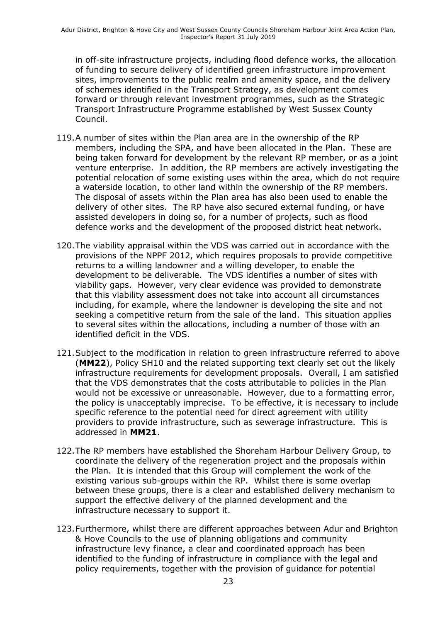in off-site infrastructure projects, including flood defence works, the allocation of funding to secure delivery of identified green infrastructure improvement sites, improvements to the public realm and amenity space, and the delivery of schemes identified in the Transport Strategy, as development comes forward or through relevant investment programmes, such as the Strategic Transport Infrastructure Programme established by West Sussex County Council.

- 119.A number of sites within the Plan area are in the ownership of the RP members, including the SPA, and have been allocated in the Plan. These are being taken forward for development by the relevant RP member, or as a joint venture enterprise. In addition, the RP members are actively investigating the potential relocation of some existing uses within the area, which do not require a waterside location, to other land within the ownership of the RP members. The disposal of assets within the Plan area has also been used to enable the delivery of other sites. The RP have also secured external funding, or have assisted developers in doing so, for a number of projects, such as flood defence works and the development of the proposed district heat network.
- 120.The viability appraisal within the VDS was carried out in accordance with the provisions of the NPPF 2012, which requires proposals to provide competitive returns to a willing landowner and a willing developer, to enable the development to be deliverable. The VDS identifies a number of sites with viability gaps. However, very clear evidence was provided to demonstrate that this viability assessment does not take into account all circumstances including, for example, where the landowner is developing the site and not seeking a competitive return from the sale of the land. This situation applies to several sites within the allocations, including a number of those with an identified deficit in the VDS.
- 121.Subject to the modification in relation to green infrastructure referred to above (**MM22**), Policy SH10 and the related supporting text clearly set out the likely infrastructure requirements for development proposals. Overall, I am satisfied that the VDS demonstrates that the costs attributable to policies in the Plan would not be excessive or unreasonable. However, due to a formatting error, the policy is unacceptably imprecise. To be effective, it is necessary to include specific reference to the potential need for direct agreement with utility providers to provide infrastructure, such as sewerage infrastructure. This is addressed in **MM21**.
- 122.The RP members have established the Shoreham Harbour Delivery Group, to coordinate the delivery of the regeneration project and the proposals within the Plan. It is intended that this Group will complement the work of the existing various sub-groups within the RP. Whilst there is some overlap between these groups, there is a clear and established delivery mechanism to support the effective delivery of the planned development and the infrastructure necessary to support it.
- 123.Furthermore, whilst there are different approaches between Adur and Brighton & Hove Councils to the use of planning obligations and community infrastructure levy finance, a clear and coordinated approach has been identified to the funding of infrastructure in compliance with the legal and policy requirements, together with the provision of guidance for potential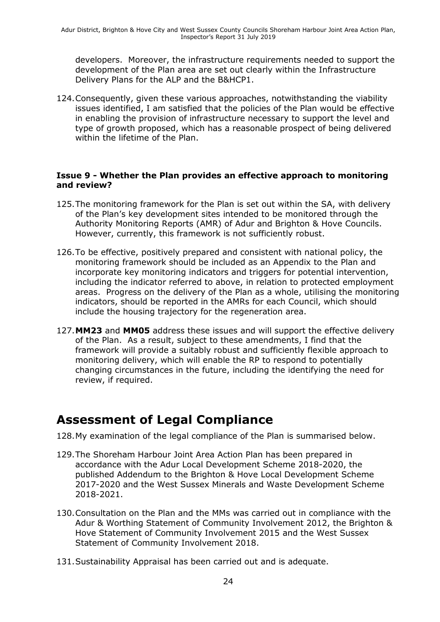developers. Moreover, the infrastructure requirements needed to support the development of the Plan area are set out clearly within the Infrastructure Delivery Plans for the ALP and the B&HCP1.

124.Consequently, given these various approaches, notwithstanding the viability issues identified, I am satisfied that the policies of the Plan would be effective in enabling the provision of infrastructure necessary to support the level and type of growth proposed, which has a reasonable prospect of being delivered within the lifetime of the Plan.

#### **Issue 9 - Whether the Plan provides an effective approach to monitoring and review?**

- 125.The monitoring framework for the Plan is set out within the SA, with delivery of the Plan's key development sites intended to be monitored through the Authority Monitoring Reports (AMR) of Adur and Brighton & Hove Councils. However, currently, this framework is not sufficiently robust.
- 126.To be effective, positively prepared and consistent with national policy, the monitoring framework should be included as an Appendix to the Plan and incorporate key monitoring indicators and triggers for potential intervention, including the indicator referred to above, in relation to protected employment areas. Progress on the delivery of the Plan as a whole, utilising the monitoring indicators, should be reported in the AMRs for each Council, which should include the housing trajectory for the regeneration area.
- 127.**MM23** and **MM05** address these issues and will support the effective delivery of the Plan. As a result, subject to these amendments, I find that the framework will provide a suitably robust and sufficiently flexible approach to monitoring delivery, which will enable the RP to respond to potentially changing circumstances in the future, including the identifying the need for review, if required.

### **Assessment of Legal Compliance**

128.My examination of the legal compliance of the Plan is summarised below.

- 129.The Shoreham Harbour Joint Area Action Plan has been prepared in accordance with the Adur Local Development Scheme 2018-2020, the published Addendum to the Brighton & Hove Local Development Scheme 2017-2020 and the West Sussex Minerals and Waste Development Scheme 2018-2021.
- 130.Consultation on the Plan and the MMs was carried out in compliance with the Adur & Worthing Statement of Community Involvement 2012, the Brighton & Hove Statement of Community Involvement 2015 and the West Sussex Statement of Community Involvement 2018.
- 131.Sustainability Appraisal has been carried out and is adequate.